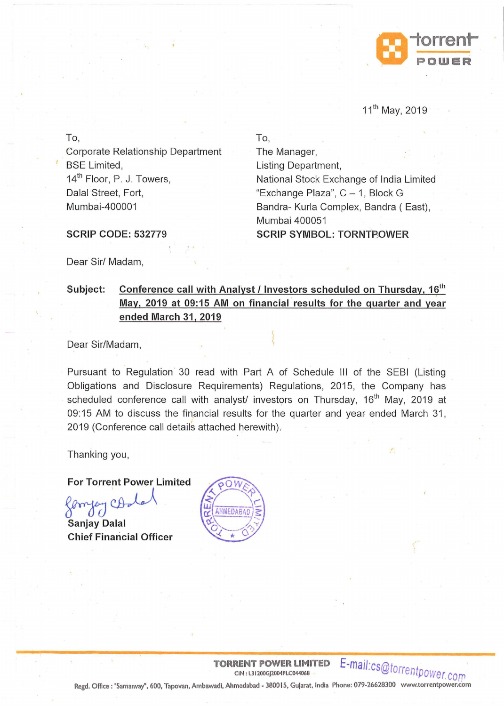

### 11th May, 2019

To,

Corporate Relationship Department BSE Limited, 14<sup>th</sup> Floor, P. J. Towers, Dalal Street, Fort, Mumbai-400001

To, The Manager, Listing Department, National Stock Exchange of India Limited "Exchange Plaza", C- 1, Block G Bandra- Kurla Complex, Bandra ( East), Mumbai 400051 **SCRIP SYMBOL: TORNT POWER** 

SCRIP CODE: 532779

Dear Sir/ Madam,

## Subject: Conference call with Analyst / Investors scheduled on Thursday, 16<sup>th</sup> May, 2019 at 09:15 AM on financial results for the quarter and year ended March 31, 2019

Dear Sir/Madam,

Pursuant to Regulation 30 read with Part A of Schedule Ill of the SEBI (Listing Obligations and Disclosure Requirements) Regulations, 2015, the Company has scheduled conference call with analyst/ investors on Thursday, 16<sup>th</sup> May, 2019 at 09:15 AM to discuss the financial results for the quarter and year ended March 31, 2019 (Conference call details attached herewith).

Thanking you,

For Torrent Power Limited ~~ Sanjay Dalal

Chief Financial Officer



**TORRENT POWER LIMITED** E-mail:cs@torrentpower com

Regd. Office: "Samanvay", 600, Tapovan, Ambawadi, Ahmedabad- 3800 15, Gujarat, India Phone: 079-26628300 www.torrentpower.com